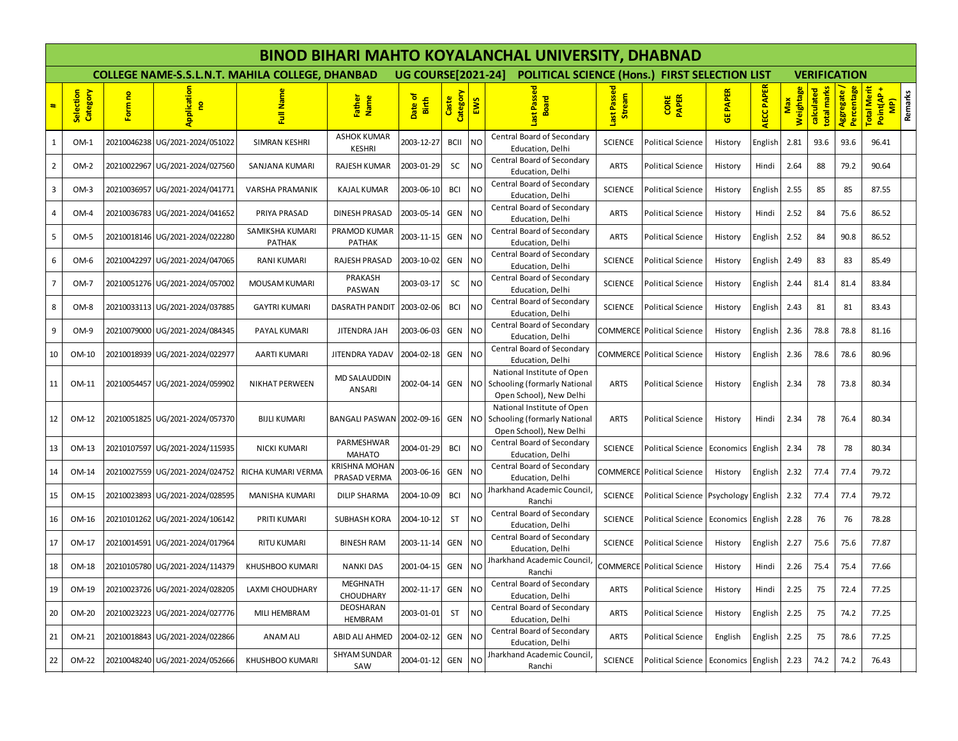|                |                       |         |                                   |                                                        |                                     |                           |                   |           | <b>BINOD BIHARI MAHTO KOYALANCHAL UNIVERSITY, DHABNAD</b>                                |                           |                                         |                   |                   |                  |                           |                         |                                                        |
|----------------|-----------------------|---------|-----------------------------------|--------------------------------------------------------|-------------------------------------|---------------------------|-------------------|-----------|------------------------------------------------------------------------------------------|---------------------------|-----------------------------------------|-------------------|-------------------|------------------|---------------------------|-------------------------|--------------------------------------------------------|
|                |                       |         |                                   | <b>COLLEGE NAME-S.S.L.N.T. MAHILA COLLEGE, DHANBAD</b> |                                     | <b>UG COURSE[2021-24]</b> |                   |           | <b>POLITICAL SCIENCE (Hons.) FIRST SELECTION LIST</b>                                    |                           |                                         |                   |                   |                  | <b>VERIFICATION</b>       |                         |                                                        |
| #              | Selection<br>Category | Form no | Application<br>g                  | ull Name                                               | Father<br>Name                      | Date of<br>Birth          | Category<br>Caste | EWS       | Last Passed<br><b>Board</b>                                                              | च<br>Last Passe<br>Stream | <b>CORE</b><br>PAPER                    | <b>GE PAPER</b>   | <b>AECC PAPER</b> | Weightage<br>Max | total marks<br>calculated | Percentage<br>Aggregate | <b>Total Merit</b><br>Remarks<br>Point(AP<br><b>MP</b> |
| 1              | OM-1                  |         | 20210046238 UG/2021-2024/051022   | SIMRAN KESHRI                                          | <b>ASHOK KUMAR</b><br><b>KESHRI</b> | 2003-12-27                | <b>BCII</b>       | NO        | Central Board of Secondary<br>Education, Delhi                                           | <b>SCIENCE</b>            | <b>Political Science</b>                | History           | English           | 2.81             | 93.6                      | 93.6                    | 96.41                                                  |
| $\overline{2}$ | OM-2                  |         | 20210022967 UG/2021-2024/027560   | SANJANA KUMARI                                         | RAJESH KUMAR                        | 2003-01-29                | SC                | <b>NO</b> | Central Board of Secondary<br>Education, Delhi                                           | <b>ARTS</b>               | <b>Political Science</b>                | History           | Hindi             | 2.64             | 88                        | 79.2                    | 90.64                                                  |
| 3              | OM-3                  |         | 20210036957 UG/2021-2024/041771   | VARSHA PRAMANIK                                        | <b>KAJAL KUMAR</b>                  | 2003-06-10                | <b>BCI</b>        | <b>NO</b> | Central Board of Secondary<br>Education, Delhi                                           | <b>SCIENCE</b>            | <b>Political Science</b>                | History           | English           | 2.55             | 85                        | 85                      | 87.55                                                  |
| $\overline{4}$ | OM-4                  |         | 20210036783 UG/2021-2024/041652   | PRIYA PRASAD                                           | DINESH PRASAD                       | 2003-05-14                | <b>GEN</b>        | <b>NO</b> | Central Board of Secondary<br>Education, Delhi                                           | <b>ARTS</b>               | <b>Political Science</b>                | History           | Hindi             | 2.52             | 84                        | 75.6                    | 86.52                                                  |
| 5              | OM-5                  |         | 20210018146 UG/2021-2024/022280   | SAMIKSHA KUMARI<br>PATHAK                              | PRAMOD KUMAR<br><b>PATHAK</b>       | 2003-11-15                | <b>GEN</b>        | NO        | Central Board of Secondary<br>Education, Delhi                                           | <b>ARTS</b>               | <b>Political Science</b>                | History           | English           | 2.52             | 84                        | 90.8                    | 86.52                                                  |
| 6              | OM-6                  |         | 20210042297 UG/2021-2024/047065   | RANI KUMARI                                            | RAJESH PRASAD                       | 2003-10-02                | <b>GEN</b>        | <b>NO</b> | Central Board of Secondary<br>Education, Delhi                                           | <b>SCIENCE</b>            | <b>Political Science</b>                | History           | English           | 2.49             | 83                        | 83                      | 85.49                                                  |
| 7              | OM-7                  |         | 20210051276 UG/2021-2024/057002   | MOUSAM KUMARI                                          | PRAKASH<br>PASWAN                   | 2003-03-17                | SC                | NO        | Central Board of Secondary<br>Education, Delhi                                           | <b>SCIENCE</b>            | <b>Political Science</b>                | History           | English           | 2.44             | 81.4                      | 81.4                    | 83.84                                                  |
| 8              | OM-8                  |         | 20210033113 UG/2021-2024/037885   | GAYTRI KUMARI                                          | DASRATH PANDIT   2003-02-06         |                           | <b>BCI</b>        | <b>NO</b> | Central Board of Secondary<br>Education, Delhi                                           | <b>SCIENCE</b>            | <b>Political Science</b>                | History           | English           | 2.43             | 81                        | 81                      | 83.43                                                  |
| 9              | OM-9                  |         | 20210079000 UG/2021-2024/084345   | PAYAL KUMARI                                           | JITENDRA JAH                        | 2003-06-03                | GEN               | <b>NO</b> | Central Board of Secondary<br>Education, Delhi                                           |                           | <b>COMMERCE</b> Political Science       | History           | English           | 2.36             | 78.8                      | 78.8                    | 81.16                                                  |
| 10             | OM-10                 |         | 20210018939 UG/2021-2024/022977   | AARTI KUMARI                                           | JITENDRA YADAV                      | 2004-02-18                | <b>GEN</b>        | <b>NO</b> | Central Board of Secondary<br>Education, Delhi                                           |                           | COMMERCE Political Science              | History           | English           | 2.36             | 78.6                      | 78.6                    | 80.96                                                  |
| 11             | OM-11                 |         | 20210054457 UG/2021-2024/059902   | <b>NIKHAT PERWEEN</b>                                  | MD SALAUDDIN<br>ANSARI              | 2002-04-14                | <b>GEN</b>        |           | National Institute of Open<br>NO Schooling (formarly National<br>Open School), New Delhi | ARTS                      | <b>Political Science</b>                | History           | English           | 2.34             | 78                        | 73.8                    | 80.34                                                  |
| 12             | OM-12                 |         | 20210051825 UG/2021-2024/057370   | <b>BIJLI KUMARI</b>                                    | BANGALI PASWAN 2002-09-16           |                           | <b>GEN</b>        |           | National Institute of Open<br>NO Schooling (formarly National<br>Open School), New Delhi | <b>ARTS</b>               | <b>Political Science</b>                | History           | Hindi             | 2.34             | 78                        | 76.4                    | 80.34                                                  |
| 13             | OM-13                 |         | 20210107597 UG/2021-2024/115935   | NICKI KUMARI                                           | PARMESHWAR<br><b>MAHATO</b>         | 2004-01-29                | <b>BCI</b>        | <b>NO</b> | Central Board of Secondary<br>Education, Delhi                                           | <b>SCIENCE</b>            | Political Science                       | Economics English |                   | 2.34             | 78                        | 78                      | 80.34                                                  |
| 14             | OM-14                 |         | 20210027559 UG/2021-2024/024752   | RICHA KUMARI VERMA                                     | KRISHNA MOHAN<br>PRASAD VERMA       | 2003-06-16                | <b>GEN</b>        | ΝO        | Central Board of Secondary<br>Education, Delhi                                           |                           | COMMERCE Political Science              | History           | English           | 2.32             | 77.4                      | 77.4                    | 79.72                                                  |
| 15             | OM-15                 |         | 20210023893   UG/2021-2024/028595 | MANISHA KUMARI                                         | <b>DILIP SHARMA</b>                 | 2004-10-09                | <b>BCI</b>        | <b>NO</b> | Jharkhand Academic Council<br>Ranchi                                                     | <b>SCIENCE</b>            | Political Science Psychology English    |                   |                   | 2.32             | 77.4                      | 77.4                    | 79.72                                                  |
| 16             | OM-16                 |         | 20210101262 UG/2021-2024/106142   | PRITI KUMARI                                           | <b>SUBHASH KORA</b>                 | 2004-10-12                | <b>ST</b>         | <b>NO</b> | Central Board of Secondary<br>Education, Delhi                                           | <b>SCIENCE</b>            | Political Science   Economics   English |                   |                   | 2.28             | 76                        | 76                      | 78.28                                                  |
| 17             | OM-17                 |         | 20210014591   UG/2021-2024/017964 | RITU KUMARI                                            | <b>BINESH RAM</b>                   | 2003-11-14                | <b>GEN</b>        | <b>NO</b> | Central Board of Secondary<br>Education, Delhi                                           | <b>SCIENCE</b>            | <b>Political Science</b>                | History           | English           | 2.27             | 75.6                      | 75.6                    | 77.87                                                  |
| 18             | OM-18                 |         | 20210105780 UG/2021-2024/114379   | KHUSHBOO KUMARI                                        | <b>NANKI DAS</b>                    | 2001-04-15                | <b>GEN</b>        | NO        | Jharkhand Academic Council<br>Ranchi                                                     |                           | COMMERCE Political Science              | History           | Hindi             | 2.26             | 75.4                      | 75.4                    | 77.66                                                  |
| 19             | OM-19                 |         | 20210023726 UG/2021-2024/028205   | LAXMI CHOUDHARY                                        | MEGHNATH<br>CHOUDHARY               | 2002-11-17 GEN NO         |                   |           | Central Board of Secondary<br>Education, Delhi                                           | ARTS                      | Political Science                       | History           | Hindi             | 2.25             | 75                        | 72.4                    | 77.25                                                  |
| 20             | OM-20                 |         | 20210023223 UG/2021-2024/027776   | MILI HEMBRAM                                           | <b>DEOSHARAN</b><br>HEMBRAM         | 2003-01-01                | <b>ST</b>         | <b>NO</b> | Central Board of Secondary<br>Education, Delhi                                           | <b>ARTS</b>               | <b>Political Science</b>                | History           | English           | 2.25             | 75                        | 74.2                    | 77.25                                                  |
| 21             | OM-21                 |         | 20210018843 UG/2021-2024/022866   | <b>ANAM ALI</b>                                        | ABID ALI AHMED                      | 2004-02-12                | GEN               | <b>NO</b> | Central Board of Secondary<br>Education, Delhi                                           | <b>ARTS</b>               | <b>Political Science</b>                | English           | English           | 2.25             | 75                        | 78.6                    | 77.25                                                  |
| 22             | OM-22                 |         | 20210048240 UG/2021-2024/052666   | KHUSHBOO KUMARI                                        | <b>SHYAM SUNDAR</b><br>SAW          | 2004-01-12                | GEN               | <b>NO</b> | Jharkhand Academic Council<br>Ranchi                                                     | <b>SCIENCE</b>            | Political Science Economics English     |                   |                   | 2.23             | 74.2                      | 74.2                    | 76.43                                                  |
|                |                       |         |                                   |                                                        |                                     |                           |                   |           |                                                                                          |                           |                                         |                   |                   |                  |                           |                         |                                                        |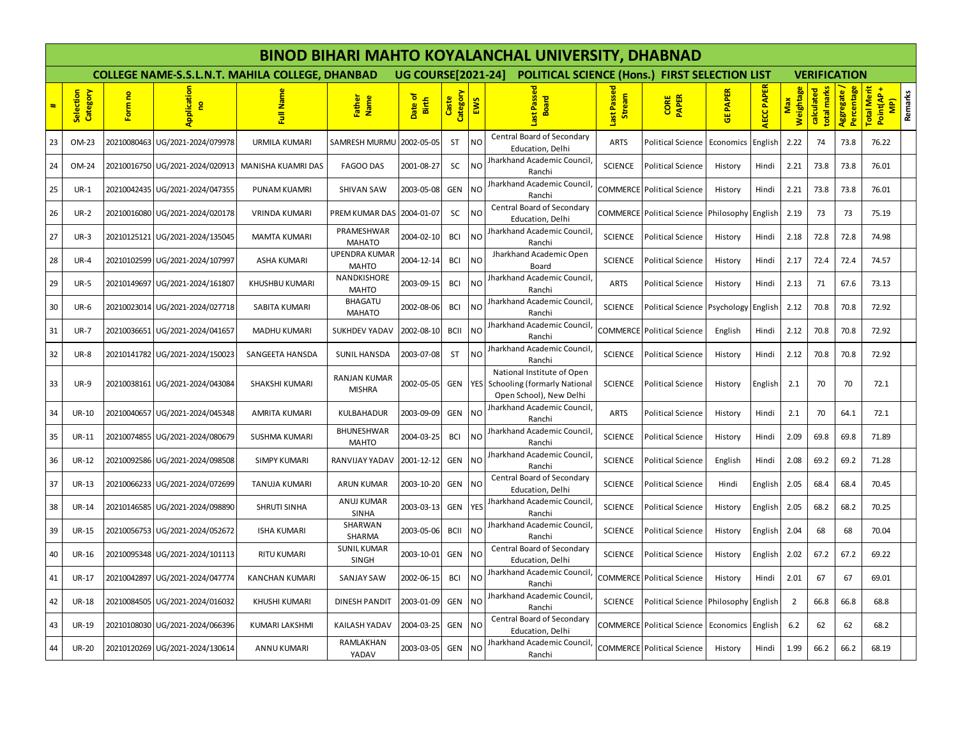|    |                       |         |                                   |                                                        |                                    |                              |                   |                | <b>BINOD BIHARI MAHTO KOYALANCHAL UNIVERSITY, DHABNAD</b>                                 |                           |                                                  |                    |                   |                  |                           |                         |                                                                      |
|----|-----------------------|---------|-----------------------------------|--------------------------------------------------------|------------------------------------|------------------------------|-------------------|----------------|-------------------------------------------------------------------------------------------|---------------------------|--------------------------------------------------|--------------------|-------------------|------------------|---------------------------|-------------------------|----------------------------------------------------------------------|
|    |                       |         |                                   | <b>COLLEGE NAME-S.S.L.N.T. MAHILA COLLEGE, DHANBAD</b> |                                    | <b>UG COURSE[2021-24]</b>    |                   |                | <b>POLITICAL SCIENCE (Hons.) FIRST SELECTION LIST</b>                                     |                           |                                                  |                    |                   |                  |                           | <b>VERIFICATION</b>     |                                                                      |
| #  | Selection<br>Category | Form no | Application<br>g                  | Name<br>言                                              | Father<br>Name                     | $\sigma$<br>Date o'<br>Birth | Category<br>Caste | EWS            | Last Passed<br><b>Board</b>                                                               | च<br>Last Passe<br>Stream | <b>CORE</b><br>PAPER                             | <b>GE PAPER</b>    | <b>AECC PAPER</b> | Weightage<br>Max | total marks<br>calculated | Percentage<br>Aggregate | <b>Total Merit</b><br><b>Remarks</b><br>Point(AP<br>$\sum_{i=1}^{n}$ |
| 23 | OM-23                 |         | 20210080463 UG/2021-2024/079978   | URMILA KUMARI                                          | SAMRESH MURMU                      | 2002-05-05                   | <b>ST</b>         | NO.            | Central Board of Secondary<br>Education, Delhi                                            | <b>ARTS</b>               | <b>Political Science</b>                         | Economics English  |                   | 2.22             | 74                        | 73.8                    | 76.22                                                                |
| 24 | OM-24                 |         | 20210016750 UG/2021-2024/020913   | <b>MANISHA KUAMRI DAS</b>                              | <b>FAGOO DAS</b>                   | 2001-08-27                   | SC                | NO             | Jharkhand Academic Council<br>Ranchi                                                      | <b>SCIENCE</b>            | <b>Political Science</b>                         | History            | Hindi             | 2.21             | 73.8                      | 73.8                    | 76.01                                                                |
| 25 | $UR-1$                |         | 20210042435   UG/2021-2024/047355 | PUNAM KUAMRI                                           | <b>SHIVAN SAW</b>                  | 2003-05-08                   | <b>GEN</b>        | NO.            | Jharkhand Academic Council<br>Ranchi                                                      |                           | <b>COMMERCE Political Science</b>                | History            | Hindi             | 2.21             | 73.8                      | 73.8                    | 76.01                                                                |
| 26 | $UR-2$                |         | 20210016080 UG/2021-2024/020178   | <b>VRINDA KUMARI</b>                                   | PREM KUMAR DAS   2004-01-07        |                              | SC                | <b>NO</b>      | Central Board of Secondary<br>Education. Delhi                                            |                           | COMMERCE Political Science                       | Philosophy English |                   | 2.19             | 73                        | 73                      | 75.19                                                                |
| 27 | $UR-3$                |         | 20210125121 UG/2021-2024/135045   | <b>MAMTA KUMARI</b>                                    | PRAMESHWAR<br><b>MAHATO</b>        | 2004-02-10                   | <b>BCI</b>        | NO.            | Jharkhand Academic Council<br>Ranchi                                                      | <b>SCIENCE</b>            | <b>Political Science</b>                         | History            | Hindi             | 2.18             | 72.8                      | 72.8                    | 74.98                                                                |
| 28 | $UR-4$                |         | 20210102599 UG/2021-2024/107997   | <b>ASHA KUMARI</b>                                     | UPENDRA KUMAR<br><b>MAHTO</b>      | 2004-12-14                   | BCI               | <b>NO</b>      | Jharkhand Academic Open<br>Board                                                          | <b>SCIENCE</b>            | <b>Political Science</b>                         | History            | Hindi             | 2.17             | 72.4                      | 72.4                    | 74.57                                                                |
| 29 | <b>UR-5</b>           |         | 20210149697 UG/2021-2024/161807   | KHUSHBU KUMARI                                         | NANDKISHORE<br><b>MAHTO</b>        | 2003-09-15                   | BCI               | <b>NO</b>      | Jharkhand Academic Council<br>Ranchi                                                      | <b>ARTS</b>               | <b>Political Science</b>                         | History            | Hindi             | 2.13             | 71                        | 67.6                    | 73.13                                                                |
| 30 | $UR-6$                |         | 20210023014 UG/2021-2024/027718   | SABITA KUMARI                                          | <b>BHAGATU</b><br><b>MAHATO</b>    | 2002-08-06                   | BCI               | <b>NO</b>      | Jharkhand Academic Council<br>Ranchi                                                      | <b>SCIENCE</b>            | Political Science Psychology English             |                    |                   | 2.12             | 70.8                      | 70.8                    | 72.92                                                                |
| 31 | <b>UR-7</b>           |         | 20210036651 UG/2021-2024/041657   | <b>MADHU KUMARI</b>                                    | <b>SUKHDEV YADAV</b>               | 2002-08-10                   | <b>BCII</b>       | N <sub>O</sub> | Jharkhand Academic Council<br>Ranchi                                                      |                           | <b>COMMERCE</b> Political Science                | English            | Hindi             | 2.12             | 70.8                      | 70.8                    | 72.92                                                                |
| 32 | <b>UR-8</b>           |         | 20210141782 UG/2021-2024/150023   | SANGEETA HANSDA                                        | SUNIL HANSDA                       | 2003-07-08                   | <b>ST</b>         | <b>NO</b>      | Jharkhand Academic Council<br>Ranchi                                                      | <b>SCIENCE</b>            | <b>Political Science</b>                         | History            | Hindi             | 2.12             | 70.8                      | 70.8                    | 72.92                                                                |
| 33 | <b>UR-9</b>           |         | 20210038161 UG/2021-2024/043084   | SHAKSHI KUMARI                                         | RANJAN KUMAR<br><b>MISHRA</b>      | 2002-05-05                   | <b>GEN</b>        |                | National Institute of Open<br>YES Schooling (formarly National<br>Open School), New Delhi | <b>SCIENCE</b>            | <b>Political Science</b>                         | History            | English           | 2.1              | 70                        | 70                      | 72.1                                                                 |
| 34 | <b>UR-10</b>          |         | 20210040657 UG/2021-2024/045348   | AMRITA KUMARI                                          | KULBAHADUR                         | 2003-09-09                   | <b>GEN</b>        | <b>NO</b>      | Jharkhand Academic Council<br>Ranchi                                                      | <b>ARTS</b>               | <b>Political Science</b>                         | History            | Hindi             | 2.1              | 70                        | 64.1                    | 72.1                                                                 |
| 35 | <b>UR-11</b>          |         | 20210074855   UG/2021-2024/080679 | SUSHMA KUMARI                                          | BHUNESHWAR<br><b>MAHTO</b>         | 2004-03-25                   | BCI               | NO.            | Jharkhand Academic Council<br>Ranchi                                                      | <b>SCIENCE</b>            | <b>Political Science</b>                         | History            | Hindi             | 2.09             | 69.8                      | 69.8                    | 71.89                                                                |
| 36 | <b>UR-12</b>          |         | 20210092586 UG/2021-2024/098508   | <b>SIMPY KUMARI</b>                                    | RANVIJAY YADAV                     | 2001-12-12                   | <b>GEN</b>        | <b>NO</b>      | Jharkhand Academic Council<br>Ranchi                                                      | <b>SCIENCE</b>            | <b>Political Science</b>                         | English            | Hindi             | 2.08             | 69.2                      | 69.2                    | 71.28                                                                |
| 37 | <b>UR-13</b>          |         | 20210066233 UG/2021-2024/072699   | TANUJA KUMARI                                          | <b>ARUN KUMAR</b>                  | 2003-10-20                   | <b>GEN</b>        | NO.            | Central Board of Secondary<br>Education, Delhi                                            | <b>SCIENCE</b>            | <b>Political Science</b>                         | Hindi              | English           | 2.05             | 68.4                      | 68.4                    | 70.45                                                                |
| 38 | <b>UR-14</b>          |         | 20210146585 UG/2021-2024/098890   | SHRUTI SINHA                                           | ANUJ KUMAR<br><b>SINHA</b>         | 2003-03-13                   | <b>GEN</b>        | YES            | Jharkhand Academic Council<br>Ranchi                                                      | <b>SCIENCE</b>            | <b>Political Science</b>                         | History            | English           | 2.05             | 68.2                      | 68.2                    | 70.25                                                                |
| 39 | UR-15                 |         | 20210056753 UG/2021-2024/052672   | <b>ISHA KUMARI</b>                                     | SHARWAN<br>SHARMA                  | 2003-05-06                   | <b>BCII</b>       | NO.            | Jharkhand Academic Council<br>Ranchi                                                      | <b>SCIENCE</b>            | <b>Political Science</b>                         | History            | English           | 2.04             | 68                        | 68                      | 70.04                                                                |
| 40 | <b>UR-16</b>          |         | 20210095348 UG/2021-2024/101113   | <b>RITU KUMARI</b>                                     | <b>SUNIL KUMAR</b><br><b>SINGH</b> | 2003-10-01                   | <b>GEN</b>        | <b>NO</b>      | Central Board of Secondary<br>Education. Delhi                                            | <b>SCIENCE</b>            | <b>Political Science</b>                         | History            | English           | 2.02             | 67.2                      | 67.2                    | 69.22                                                                |
| 41 | <b>UR-17</b>          |         | 20210042897 UG/2021-2024/047774   | <b>KANCHAN KUMARI</b>                                  | <b>SANJAY SAW</b>                  | 2002-06-15                   | BCI               | <b>NO</b>      | Jharkhand Academic Council<br>Ranchi                                                      |                           | <b>COMMERCE Political Science</b>                | History            | Hindi             | 2.01             | 67                        | 67                      | 69.01                                                                |
| 42 | <b>UR-18</b>          |         | 20210084505 UG/2021-2024/016032   | <b>KHUSHI KUMARI</b>                                   | DINESH PANDIT                      | 2003-01-09                   | GEN               | <b>NO</b>      | Jharkhand Academic Council<br>Ranchi                                                      | <b>SCIENCE</b>            | Political Science Philosophy English             |                    |                   | $\overline{2}$   | 66.8                      | 66.8                    | 68.8                                                                 |
| 43 | <b>UR-19</b>          |         | 20210108030 UG/2021-2024/066396   | KUMARI LAKSHMI                                         | KAILASH YADAV                      | 2004-03-25                   | GEN               | <b>NO</b>      | Central Board of Secondary<br>Education, Delhi                                            |                           | COMMERCE Political Science   Economics   English |                    |                   | $6.2$            | 62                        | 62                      | 68.2                                                                 |
| 44 | <b>UR-20</b>          |         | 20210120269 UG/2021-2024/130614   | ANNU KUMARI                                            | RAMLAKHAN<br>YADAV                 | 2003-03-05                   | GEN               | <b>NO</b>      | Jharkhand Academic Council<br>Ranchi                                                      |                           | <b>COMMERCE</b> Political Science                | History            | Hindi             | 1.99             | 66.2                      | 66.2                    | 68.19                                                                |
|    |                       |         |                                   |                                                        |                                    |                              |                   |                |                                                                                           |                           |                                                  |                    |                   |                  |                           |                         |                                                                      |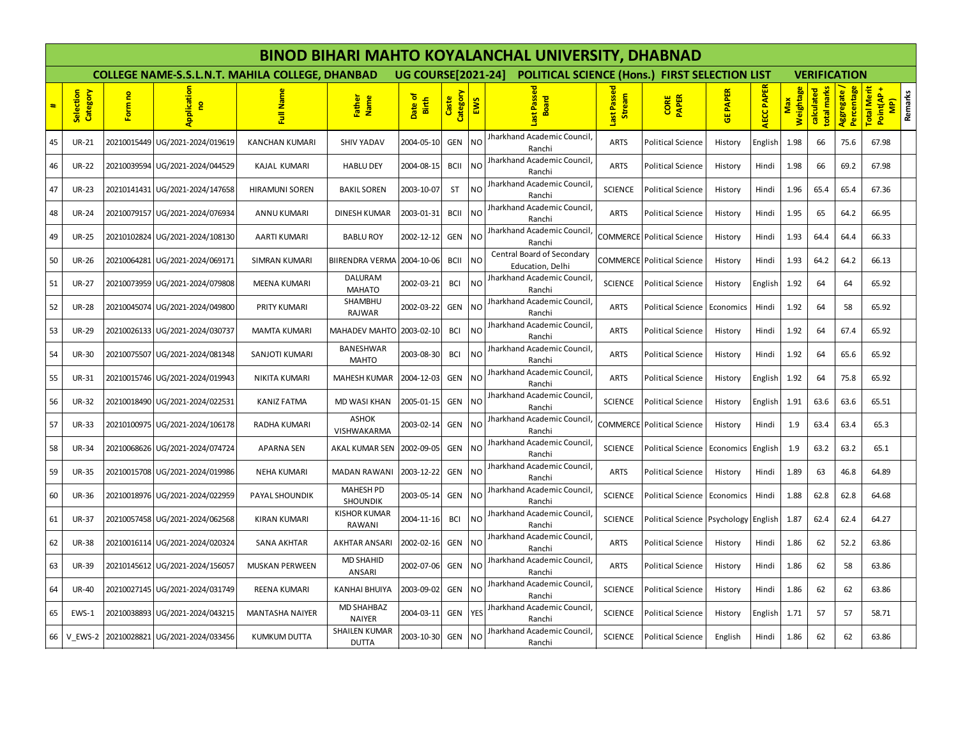|    |                       |                  |                                 |                                                        |                                     |                           |                   |                | <b>BINOD BIHARI MAHTO KOYALANCHAL UNIVERSITY, DHABNAD</b> |                         |                                   |                    |                   |                  |                           |                         |                                                               |
|----|-----------------------|------------------|---------------------------------|--------------------------------------------------------|-------------------------------------|---------------------------|-------------------|----------------|-----------------------------------------------------------|-------------------------|-----------------------------------|--------------------|-------------------|------------------|---------------------------|-------------------------|---------------------------------------------------------------|
|    |                       |                  |                                 | <b>COLLEGE NAME-S.S.L.N.T. MAHILA COLLEGE, DHANBAD</b> |                                     | <b>UG COURSE[2021-24]</b> |                   |                | POLITICAL SCIENCE (Hons.) FIRST SELECTION LIST            |                         |                                   |                    |                   |                  |                           | <b>VERIFICATION</b>     |                                                               |
| #  | Selection<br>Category | <b>e</b><br>Form | pplication<br>g                 | Full Name                                              | Father<br>Name                      | Date of<br>Birth          | Caste<br>Category | EWS            | Passer<br><b>Board</b>                                    | Passe<br>Stream<br>isel | <b>CORE</b><br>PAPER              | <b>GE PAPER</b>    | <b>AECC PAPER</b> | Weightage<br>Max | total marks<br>calculated | Percentage<br>Aggregate | <b>Total Merit</b><br>Remarks<br>Point(AP<br>$\sum_{i=1}^{n}$ |
| 45 | <b>UR-21</b>          |                  | 20210015449 UG/2021-2024/019619 | <b>KANCHAN KUMARI</b>                                  | SHIV YADAV                          | 2004-05-10                | <b>GEN</b>        | <b>NO</b>      | Jharkhand Academic Council<br>Ranchi                      | <b>ARTS</b>             | <b>Political Science</b>          | History            | English           | 1.98             | 66                        | 75.6                    | 67.98                                                         |
| 46 | <b>UR-22</b>          | 20210039594      | UG/2021-2024/044529             | KAJAL KUMARI                                           | <b>HABLU DEY</b>                    | 2004-08-15                | <b>BCII</b>       | NO             | Jharkhand Academic Council<br>Ranchi                      | <b>ARTS</b>             | <b>Political Science</b>          | History            | Hindi             | 1.98             | 66                        | 69.2                    | 67.98                                                         |
| 47 | <b>UR-23</b>          | 20210141431      | UG/2021-2024/147658             | <b>HIRAMUNI SOREN</b>                                  | <b>BAKIL SOREN</b>                  | 2003-10-07                | <b>ST</b>         | <b>NO</b>      | Jharkhand Academic Council<br>Ranchi                      | <b>SCIENCE</b>          | <b>Political Science</b>          | History            | Hindi             | 1.96             | 65.4                      | 65.4                    | 67.36                                                         |
| 48 | <b>UR-24</b>          |                  | 20210079157 UG/2021-2024/076934 | ANNU KUMARI                                            | DINESH KUMAR                        | 2003-01-31                | <b>BCII</b>       | NO             | Jharkhand Academic Council<br>Ranchi                      | <b>ARTS</b>             | <b>Political Science</b>          | History            | Hindi             | 1.95             | 65                        | 64.2                    | 66.95                                                         |
| 49 | <b>UR-25</b>          | 20210102824      | UG/2021-2024/108130             | <b>AARTI KUMARI</b>                                    | <b>BABLU ROY</b>                    | 2002-12-12                | <b>GEN</b>        | NO             | Jharkhand Academic Council<br>Ranchi                      |                         | <b>COMMERCE</b> Political Science | History            | Hindi             | 1.93             | 64.4                      | 64.4                    | 66.33                                                         |
| 50 | <b>UR-26</b>          | 20210064281      | UG/2021-2024/069171             | <b>SIMRAN KUMARI</b>                                   | BIIRENDRA VERMA 2004-10-06          |                           | <b>BCII</b>       | NO             | Central Board of Secondary<br>Education, Delhi            |                         | <b>COMMERCE</b> Political Science | History            | Hindi             | 1.93             | 64.2                      | 64.2                    | 66.13                                                         |
| 51 | <b>UR-27</b>          |                  | 20210073959 UG/2021-2024/079808 | <b>MEENA KUMARI</b>                                    | DALURAM<br><b>MAHATO</b>            | 2002-03-21                | <b>BCI</b>        | NO.            | Jharkhand Academic Council<br>Ranchi                      | <b>SCIENCE</b>          | <b>Political Science</b>          | History            | English           | 1.92             | 64                        | 64                      | 65.92                                                         |
| 52 | <b>UR-28</b>          |                  | 20210045074 UG/2021-2024/049800 | PRITY KUMARI                                           | SHAMBHU<br>RAJWAR                   | 2002-03-22                | <b>GEN</b>        | <b>NO</b>      | <b>Jharkhand Academic Council</b><br>Ranchi               | <b>ARTS</b>             | <b>Political Science</b>          | Economics          | Hindi             | 1.92             | 64                        | 58                      | 65.92                                                         |
| 53 | <b>UR-29</b>          |                  | 20210026133 UG/2021-2024/030737 | <b>MAMTA KUMARI</b>                                    | <b>MAHADEV MAHTO</b>                | 2003-02-10                | <b>BCI</b>        | N <sub>O</sub> | Jharkhand Academic Council<br>Ranchi                      | <b>ARTS</b>             | <b>Political Science</b>          | History            | Hindi             | 1.92             | 64                        | 67.4                    | 65.92                                                         |
| 54 | <b>UR-30</b>          | 20210075507      | UG/2021-2024/081348             | SANJOTI KUMARI                                         | BANESHWAR<br><b>MAHTO</b>           | 2003-08-30                | <b>BCI</b>        | <b>NO</b>      | Jharkhand Academic Council<br>Ranchi                      | <b>ARTS</b>             | <b>Political Science</b>          | History            | Hindi             | 1.92             | 64                        | 65.6                    | 65.92                                                         |
| 55 | <b>UR-31</b>          |                  | 20210015746 UG/2021-2024/019943 | NIKITA KUMARI                                          | MAHESH KUMAR                        | 2004-12-03                | <b>GEN</b>        | <b>NO</b>      | Jharkhand Academic Council<br>Ranchi                      | <b>ARTS</b>             | <b>Political Science</b>          | History            | English           | 1.92             | 64                        | 75.8                    | 65.92                                                         |
| 56 | <b>UR-32</b>          |                  | 20210018490 UG/2021-2024/022531 | KANIZ FATMA                                            | MD WASI KHAN                        | 2005-01-15                | <b>GEN</b>        | NO             | Jharkhand Academic Council<br>Ranchi                      | <b>SCIENCE</b>          | <b>Political Science</b>          | History            | English           | 1.91             | 63.6                      | 63.6                    | 65.51                                                         |
| 57 | <b>UR-33</b>          |                  | 20210100975 UG/2021-2024/106178 | RADHA KUMARI                                           | <b>ASHOK</b><br><b>VISHWAKARMA</b>  | 2003-02-14                | <b>GEN</b>        | <b>NO</b>      | Jharkhand Academic Council<br>Ranchi                      |                         | <b>COMMERCE</b> Political Science | History            | Hindi             | 1.9              | 63.4                      | 63.4                    | 65.3                                                          |
| 58 | <b>UR-34</b>          |                  | 20210068626 UG/2021-2024/074724 | <b>APARNA SEN</b>                                      | AKAL KUMAR SEN                      | 2002-09-05                | <b>GEN</b>        | NO             | Jharkhand Academic Council<br>Ranchi                      | <b>SCIENCE</b>          | <b>Political Science</b>          | Economics          | English           | 1.9              | 63.2                      | 63.2                    | 65.1                                                          |
| 59 | <b>UR-35</b>          |                  | 20210015708 UG/2021-2024/019986 | <b>NEHA KUMARI</b>                                     | <b>MADAN RAWANI</b>                 | 2003-12-22                | <b>GEN</b>        | NO             | Jharkhand Academic Council<br>Ranchi                      | <b>ARTS</b>             | <b>Political Science</b>          | History            | Hindi             | 1.89             | 63                        | 46.8                    | 64.89                                                         |
| 60 | <b>UR-36</b>          |                  | 20210018976 UG/2021-2024/022959 | PAYAL SHOUNDIK                                         | <b>MAHESH PD</b><br><b>SHOUNDIK</b> | 2003-05-14                | <b>GEN</b>        | <b>NO</b>      | Jharkhand Academic Council<br>Ranchi                      | <b>SCIENCE</b>          | <b>Political Science</b>          | Economics          | Hindi             | 1.88             | 62.8                      | 62.8                    | 64.68                                                         |
| 61 | <b>UR-37</b>          |                  | 20210057458 UG/2021-2024/062568 | <b>KIRAN KUMARI</b>                                    | <b>KISHOR KUMAR</b><br>RAWANI       | 2004-11-16                | <b>BCI</b>        | NO             | Jharkhand Academic Council<br>Ranchi                      | <b>SCIENCE</b>          | <b>Political Science</b>          | Psychology English |                   | 1.87             | 62.4                      | 62.4                    | 64.27                                                         |
| 62 | <b>UR-38</b>          |                  | 20210016114 UG/2021-2024/020324 | <b>SANA AKHTAR</b>                                     | <b>AKHTAR ANSARI</b>                | 2002-02-16                | <b>GEN</b>        | <b>NO</b>      | Jharkhand Academic Council<br>Ranchi                      | <b>ARTS</b>             | <b>Political Science</b>          | History            | Hindi             | 1.86             | 62                        | 52.2                    | 63.86                                                         |
| 63 | <b>UR-39</b>          |                  | 20210145612 UG/2021-2024/156057 | <b>MUSKAN PERWEEN</b>                                  | <b>MD SHAHID</b><br>ANSARI          | 2002-07-06                | <b>GEN</b>        | NO.            | Jharkhand Academic Council<br>Ranchi                      | <b>ARTS</b>             | <b>Political Science</b>          | History            | Hindi             | 1.86             | 62                        | 58                      | 63.86                                                         |
| 64 | <b>UR-40</b>          |                  | 20210027145 UG/2021-2024/031749 | REENA KUMARI                                           | <b>KANHAI BHUIYA</b>                | 2003-09-02                | <b>GEN</b>        | N <sub>O</sub> | Jharkhand Academic Council<br>Ranchi                      | <b>SCIENCE</b>          | <b>Political Science</b>          | History            | Hindi             | 1.86             | 62                        | 62                      | 63.86                                                         |
| 65 | EWS-1                 |                  | 20210038893 UG/2021-2024/043215 | <b>MANTASHA NAIYER</b>                                 | MD SHAHBAZ<br><b>NAIYER</b>         | 2004-03-11                | <b>GEN</b>        | <b>YES</b>     | Jharkhand Academic Council<br>Ranchi                      | <b>SCIENCE</b>          | <b>Political Science</b>          | History            | English           | 1.71             | 57                        | 57                      | 58.71                                                         |
| 66 | V_EWS-2               | 20210028821      | UG/2021-2024/033456             | <b>KUMKUM DUTTA</b>                                    | SHAILEN KUMAR<br><b>DUTTA</b>       | 2003-10-30                | <b>GEN</b>        | NO             | Jharkhand Academic Council<br>Ranchi                      | <b>SCIENCE</b>          | <b>Political Science</b>          | English            | Hindi             | 1.86             | 62                        | 62                      | 63.86                                                         |
|    |                       |                  |                                 |                                                        |                                     |                           |                   |                |                                                           |                         |                                   |                    |                   |                  |                           |                         |                                                               |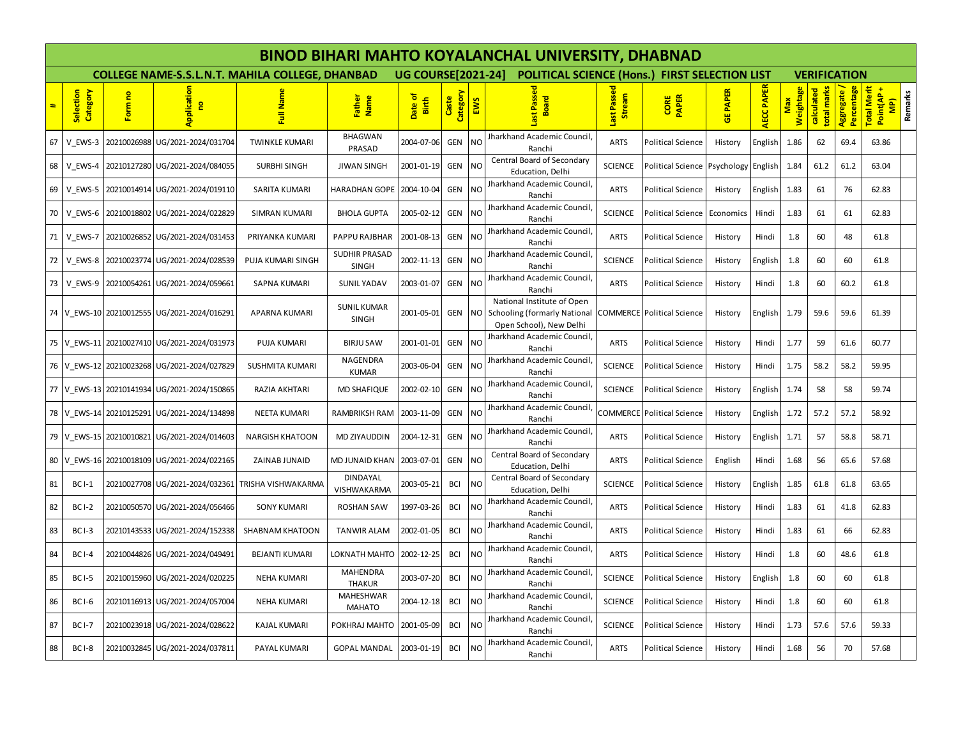|    |                       |         |                                                   |                                                        |                                      |                              |                   |                | <b>BINOD BIHARI MAHTO KOYALANCHAL UNIVERSITY, DHABNAD</b>                                    |                         |                                          |                 |                   |                  |                           |                         |                                          |                |
|----|-----------------------|---------|---------------------------------------------------|--------------------------------------------------------|--------------------------------------|------------------------------|-------------------|----------------|----------------------------------------------------------------------------------------------|-------------------------|------------------------------------------|-----------------|-------------------|------------------|---------------------------|-------------------------|------------------------------------------|----------------|
|    |                       |         |                                                   | <b>COLLEGE NAME-S.S.L.N.T. MAHILA COLLEGE, DHANBAD</b> |                                      | <b>UG COURSE[2021-24]</b>    |                   |                | <b>POLITICAL SCIENCE (Hons.) FIRST SELECTION LIST</b>                                        |                         |                                          |                 |                   |                  | <b>VERIFICATION</b>       |                         |                                          |                |
| #  | Selection<br>Category | Form no | Application<br>g                                  | Name<br>冒                                              | Father<br>Name                       | $\sigma$<br>Date of<br>Birth | Category<br>Caste | EWS            | Last Passed<br><b>Board</b>                                                                  | Passe<br>Stream<br>isel | <b>CORE</b><br>PAPER                     | <b>GE PAPER</b> | <b>AECC PAPER</b> | Weightage<br>Max | total marks<br>calculated | Percentage<br>Aggregate | Total Merit<br>Point(AP-<br>$\mathbf{F}$ | <b>Remarks</b> |
| 67 | V EWS-3               |         | 20210026988 UG/2021-2024/031704                   | <b>TWINKLE KUMARI</b>                                  | <b>BHAGWAN</b><br>PRASAD             | 2004-07-06                   | <b>GEN</b>        | N <sub>O</sub> | Jharkhand Academic Council,<br>Ranchi                                                        | <b>ARTS</b>             | <b>Political Science</b>                 | History         | English           | 1.86             | 62                        | 69.4                    | 63.86                                    |                |
| 68 | V EWS-4               |         | 20210127280 UG/2021-2024/084055                   | <b>SURBHI SINGH</b>                                    | <b>JIWAN SINGH</b>                   | 2001-01-19                   | <b>GEN</b>        | <b>NO</b>      | Central Board of Secondary<br>Education, Delhi                                               | <b>SCIENCE</b>          | Political Science   Psychology   English |                 |                   | 1.84             | 61.2                      | 61.2                    | 63.04                                    |                |
| 69 | V EWS-5               |         | 20210014914 UG/2021-2024/019110                   | SARITA KUMARI                                          | HARADHAN GOPE 2004-10-04             |                              | <b>GEN</b>        | N <sub>O</sub> | Jharkhand Academic Council,<br>Ranchi                                                        | <b>ARTS</b>             | <b>Political Science</b>                 | History         | English           | 1.83             | 61                        | 76                      | 62.83                                    |                |
| 70 | V EWS-6               |         | 20210018802 UG/2021-2024/022829                   | SIMRAN KUMARI                                          | <b>BHOLA GUPTA</b>                   | 2005-02-12                   | GEN NO            |                | Jharkhand Academic Council,<br>Ranchi                                                        | <b>SCIENCE</b>          | <b>Political Science</b>                 | Economics       | Hindi             | 1.83             | 61                        | 61                      | 62.83                                    |                |
| 71 | V EWS-7               |         | 20210026852 UG/2021-2024/031453                   | PRIYANKA KUMARI                                        | PAPPU RAJBHAR                        | 2001-08-13                   | <b>GEN</b>        | NO.            | Jharkhand Academic Council,<br>Ranchi                                                        | <b>ARTS</b>             | <b>Political Science</b>                 | History         | Hindi             | 1.8              | 60                        | 48                      | 61.8                                     |                |
| 72 | V EWS-8               |         | 20210023774 UG/2021-2024/028539                   | PUJA KUMARI SINGH                                      | <b>SUDHIR PRASAD</b><br><b>SINGH</b> | 2002-11-13                   | <b>GEN</b>        | <b>NO</b>      | Jharkhand Academic Council<br>Ranchi                                                         | <b>SCIENCE</b>          | <b>Political Science</b>                 | History         | English           | 1.8              | 60                        | 60                      | 61.8                                     |                |
| 73 | V EWS-9               |         | 20210054261 UG/2021-2024/059661                   | SAPNA KUMARI                                           | <b>SUNIL YADAV</b>                   | 2003-01-07                   | GEN               | <b>INO</b>     | Jharkhand Academic Council<br>Ranchi                                                         | <b>ARTS</b>             | <b>Political Science</b>                 | History         | Hindi             | 1.8              | 60                        | 60.2                    | 61.8                                     |                |
|    |                       |         | 74 V EWS-10 20210012555 UG/2021-2024/016291       | APARNA KUMARI                                          | <b>SUNIL KUMAR</b><br><b>SINGH</b>   | 2001-05-01                   | <b>GEN</b>        | <b>NO</b>      | National Institute of Open<br><b>Schooling (formarly National</b><br>Open School), New Delhi |                         | <b>COMMERCE</b> Political Science        | History         | English           | 1.79             | 59.6                      | 59.6                    | 61.39                                    |                |
|    |                       |         | 75 V EWS-11 20210027410 UG/2021-2024/031973       | PUJA KUMARI                                            | <b>BIRJU SAW</b>                     | 2001-01-01                   | GEN NO            |                | Jharkhand Academic Council.<br>Ranchi                                                        | <b>ARTS</b>             | <b>Political Science</b>                 | History         | Hindi             | 1.77             | 59                        | 61.6                    | 60.77                                    |                |
|    |                       |         | 76 V EWS-12 20210023268 UG/2021-2024/027829       | <b>SUSHMITA KUMARI</b>                                 | NAGENDRA<br><b>KUMAR</b>             | 2003-06-04                   | <b>GEN</b>        | <b>NO</b>      | Jharkhand Academic Council<br>Ranchi                                                         | <b>SCIENCE</b>          | <b>Political Science</b>                 | History         | Hindi             | 1.75             | 58.2                      | 58.2                    | 59.95                                    |                |
|    |                       |         | 77 V EWS-13 20210141934 UG/2021-2024/150865       | RAZIA AKHTARI                                          | <b>MD SHAFIQUE</b>                   | 2002-02-10                   | <b>GEN</b>        | <b>NO</b>      | Jharkhand Academic Council<br>Ranchi                                                         | <b>SCIENCE</b>          | <b>Political Science</b>                 | History         | English           | 1.74             | 58                        | 58                      | 59.74                                    |                |
|    |                       |         | 78   V EWS-14   20210125291   UG/2021-2024/134898 | NEETA KUMARI                                           | RAMBRIKSH RAM                        | 2003-11-09                   | <b>GEN</b>        | <b>NO</b>      | Jharkhand Academic Council<br>Ranchi                                                         |                         | COMMERCE   Political Science             | History         | English           | 1.72             | 57.2                      | 57.2                    | 58.92                                    |                |
|    |                       |         | 79 V EWS-15 20210010821 UG/2021-2024/014603       | <b>NARGISH KHATOON</b>                                 | MD ZIYAUDDIN                         | 2004-12-31                   | <b>GEN</b>        | N <sub>O</sub> | Jharkhand Academic Council<br>Ranchi                                                         | <b>ARTS</b>             | <b>Political Science</b>                 | History         | English           | 1.71             | 57                        | 58.8                    | 58.71                                    |                |
|    |                       |         | 80 V EWS-16 20210018109 UG/2021-2024/022165       | ZAINAB JUNAID                                          | MD JUNAID KHAN 2003-07-01            |                              | <b>GEN</b>        | <b>NO</b>      | Central Board of Secondary<br>Education, Delhi                                               | <b>ARTS</b>             | <b>Political Science</b>                 | English         | Hindi             | 1.68             | 56                        | 65.6                    | 57.68                                    |                |
| 81 | <b>BCI-1</b>          |         | 20210027708 UG/2021-2024/032361                   | TRISHA VISHWAKARMA                                     | <b>DINDAYAL</b><br>VISHWAKARMA       | 2003-05-21                   | BCI               | NO             | Central Board of Secondary<br>Education, Delhi                                               | <b>SCIENCE</b>          | <b>Political Science</b>                 | History         | English           | 1.85             | 61.8                      | 61.8                    | 63.65                                    |                |
| 82 | <b>BC I-2</b>         |         | 20210050570 UG/2021-2024/056466                   | <b>SONY KUMARI</b>                                     | <b>ROSHAN SAW</b>                    | 1997-03-26                   | <b>BCI</b>        | <b>NO</b>      | Jharkhand Academic Council,<br>Ranchi                                                        | <b>ARTS</b>             | <b>Political Science</b>                 | History         | Hindi             | 1.83             | 61                        | 41.8                    | 62.83                                    |                |
| 83 | $BCI-3$               |         | 20210143533 UG/2021-2024/152338                   | SHABNAM KHATOON                                        | TANWIR ALAM                          | 2002-01-05                   | BCI               | N <sub>O</sub> | <b>Jharkhand Academic Council</b><br>Ranchi                                                  | <b>ARTS</b>             | <b>Political Science</b>                 | History         | Hindi             | 1.83             | 61                        | 66                      | 62.83                                    |                |
| 84 | <b>BC I-4</b>         |         | 20210044826 UG/2021-2024/049491                   | <b>BEJANTI KUMARI</b>                                  | LOKNATH MAHTO 2002-12-25             |                              | BCI               | <b>NO</b>      | Jharkhand Academic Council<br>Ranchi                                                         | <b>ARTS</b>             | <b>Political Science</b>                 | History         | Hindi             | 1.8              | 60                        | 48.6                    | 61.8                                     |                |
| 85 | <b>BCI-5</b>          |         | 20210015960 UG/2021-2024/020225                   | <b>NEHA KUMARI</b>                                     | <b>MAHENDRA</b><br><b>THAKUR</b>     | 2003-07-20                   | <b>BCI</b>        | <b>NO</b>      | Jharkhand Academic Council,<br>Ranchi                                                        | SCIENCE                 | <b>Political Science</b>                 | History         | English           | 1.8              | 60                        | 60                      | 61.8                                     |                |
| 86 | <b>BCI-6</b>          |         | 20210116913 UG/2021-2024/057004                   | <b>NEHA KUMARI</b>                                     | MAHESHWAR<br><b>MAHATO</b>           | 2004-12-18                   | BCI               | <b>NO</b>      | Jharkhand Academic Council,<br>Ranchi                                                        | SCIENCE                 | <b>Political Science</b>                 | History         | Hindi             | 1.8              | 60                        | 60                      | 61.8                                     |                |
| 87 | <b>BC I-7</b>         |         | 20210023918 UG/2021-2024/028622                   | KAJAL KUMARI                                           | POKHRAJ MAHTO                        | 2001-05-09                   | <b>BCI</b>        | <b>NO</b>      | Jharkhand Academic Council<br>Ranchi                                                         | SCIENCE                 | <b>Political Science</b>                 | History         | Hindi             | 1.73             | 57.6                      | 57.6                    | 59.33                                    |                |
| 88 | <b>BCI-8</b>          |         | 20210032845 UG/2021-2024/037811                   | PAYAL KUMARI                                           | <b>GOPAL MANDAL</b>                  | 2003-01-19                   | <b>BCI</b>        | <b>NO</b>      | Jharkhand Academic Council,<br>Ranchi                                                        | <b>ARTS</b>             | <b>Political Science</b>                 | History         | Hindi             | 1.68             | 56                        | 70                      | 57.68                                    |                |
|    |                       |         |                                                   |                                                        |                                      |                              |                   |                |                                                                                              |                         |                                          |                 |                   |                  |                           |                         |                                          |                |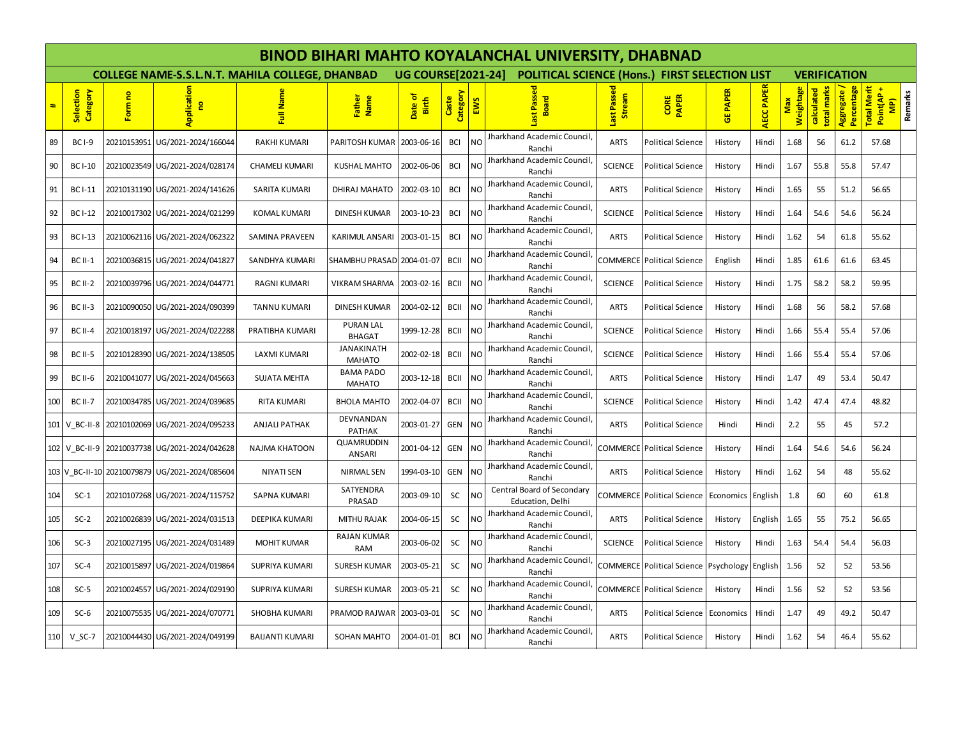|     |                       |                      |                                                |                                                        |                                    |                           |                   |                | <b>BINOD BIHARI MAHTO KOYALANCHAL UNIVERSITY, DHABNAD</b> |                          |                              |                 |                   |                  |                           |                         |                                                                    |
|-----|-----------------------|----------------------|------------------------------------------------|--------------------------------------------------------|------------------------------------|---------------------------|-------------------|----------------|-----------------------------------------------------------|--------------------------|------------------------------|-----------------|-------------------|------------------|---------------------------|-------------------------|--------------------------------------------------------------------|
|     |                       |                      |                                                | <b>COLLEGE NAME-S.S.L.N.T. MAHILA COLLEGE, DHANBAD</b> |                                    | <b>UG COURSE[2021-24]</b> |                   |                | POLITICAL SCIENCE (Hons.) FIRST SELECTION LIST            |                          |                              |                 |                   |                  | <b>VERIFICATION</b>       |                         |                                                                    |
| #   | Selection<br>Category | $\mathbf{e}$<br>Form | pplication<br><b>P</b><br>₹                    | Full Name                                              | Father<br>Name                     | Date of<br>Birth          | Caste<br>Category | EWS            | Passe<br><b>Board</b><br>ise                              | Passer<br>Stream<br>isel | CORE<br>PAPER                | <b>GE PAPER</b> | <b>AECC PAPER</b> | Weightage<br>Max | total marks<br>calculated | Percentage<br>Aggregate | <b>Total Merit</b><br>Remarks<br>Point(AP-<br>$\boxed{\mathbf{P}}$ |
| 89  | BCI-9                 |                      | 20210153951 UG/2021-2024/166044                | RAKHI KUMARI                                           | PARITOSH KUMAR 2003-06-16          |                           | <b>BCI</b>        | <b>NO</b>      | Jharkhand Academic Council<br>Ranchi                      | <b>ARTS</b>              | <b>Political Science</b>     | History         | Hindi             | 1.68             | 56                        | 61.2                    | 57.68                                                              |
| 90  | <b>BC I-10</b>        |                      | 20210023549 UG/2021-2024/028174                | <b>CHAMELI KUMARI</b>                                  | KUSHAL MAHTO                       | 2002-06-06                | <b>BCI</b>        | NO             | <b>Jharkhand Academic Council</b><br>Ranchi               | <b>SCIENCE</b>           | <b>Political Science</b>     | History         | Hindi             | 1.67             | 55.8                      | 55.8                    | 57.47                                                              |
| 91  | <b>BCI-11</b>         |                      | 20210131190 UG/2021-2024/141626                | SARITA KUMARI                                          | DHIRAJ MAHATO                      | 2002-03-10                | <b>BCI</b>        | <b>NO</b>      | Jharkhand Academic Council<br>Ranchi                      | <b>ARTS</b>              | <b>Political Science</b>     | History         | Hindi             | 1.65             | 55                        | 51.2                    | 56.65                                                              |
| 92  | <b>BC I-12</b>        |                      | 20210017302 UG/2021-2024/021299                | <b>KOMAL KUMARI</b>                                    | DINESH KUMAR                       | 2003-10-23                | <b>BCI</b>        | NO             | Jharkhand Academic Council<br>Ranchi                      | <b>SCIENCE</b>           | <b>Political Science</b>     | History         | Hindi             | 1.64             | 54.6                      | 54.6                    | 56.24                                                              |
| 93  | <b>BC I-13</b>        |                      | 20210062116 UG/2021-2024/062322                | SAMINA PRAVEEN                                         | KARIMUL ANSARI                     | 2003-01-15                | <b>BCI</b>        | NO             | Jharkhand Academic Council<br>Ranchi                      | <b>ARTS</b>              | <b>Political Science</b>     | History         | Hindi             | 1.62             | 54                        | 61.8                    | 55.62                                                              |
| 94  | BC II-1               |                      | 20210036815 UG/2021-2024/041827                | SANDHYA KUMARI                                         | SHAMBHU PRASAD 2004-01-07          |                           | <b>BCII</b>       | <b>NO</b>      | Jharkhand Academic Council<br>Ranchi                      |                          | COMMERCE Political Science   | English         | Hindi             | 1.85             | 61.6                      | 61.6                    | 63.45                                                              |
| 95  | <b>BC II-2</b>        |                      | 20210039796 UG/2021-2024/044771                | <b>RAGNI KUMARI</b>                                    | VIKRAM SHARMA   2003-02-16         |                           | <b>BCII</b>       | NO.            | Jharkhand Academic Council<br>Ranchi                      | <b>SCIENCE</b>           | <b>Political Science</b>     | History         | Hindi             | 1.75             | 58.2                      | 58.2                    | 59.95                                                              |
| 96  | BC II-3               |                      | 20210090050 UG/2021-2024/090399                | <b>TANNU KUMARI</b>                                    | DINESH KUMAR                       | 2004-02-12                | <b>BCII</b>       | <b>NO</b>      | <b>Jharkhand Academic Council</b><br>Ranchi               | <b>ARTS</b>              | <b>Political Science</b>     | History         | Hindi             | 1.68             | 56                        | 58.2                    | 57.68                                                              |
| 97  | <b>BC II-4</b>        |                      | 20210018197 UG/2021-2024/022288                | PRATIBHA KUMARI                                        | <b>PURAN LAL</b><br><b>BHAGAT</b>  | 1999-12-28                | <b>BCII</b>       | N <sub>O</sub> | Jharkhand Academic Council<br>Ranchi                      | <b>SCIENCE</b>           | <b>Political Science</b>     | History         | Hindi             | 1.66             | 55.4                      | 55.4                    | 57.06                                                              |
| 98  | <b>BC II-5</b>        |                      | 20210128390 UG/2021-2024/138505                | LAXMI KUMARI                                           | <b>JANAKINATH</b><br><b>MAHATO</b> | 2002-02-18                | <b>BCII</b>       | N <sub>O</sub> | Jharkhand Academic Council<br>Ranchi                      | <b>SCIENCE</b>           | <b>Political Science</b>     | History         | Hindi             | 1.66             | 55.4                      | 55.4                    | 57.06                                                              |
| 99  | BC II-6               |                      | 20210041077 UG/2021-2024/045663                | <b>SUJATA MEHTA</b>                                    | <b>BAMA PADO</b><br><b>MAHATO</b>  | 2003-12-18                | <b>BCII</b>       | <b>NO</b>      | <b>Jharkhand Academic Council</b><br>Ranchi               | <b>ARTS</b>              | <b>Political Science</b>     | History         | Hindi             | 1.47             | 49                        | 53.4                    | 50.47                                                              |
| 100 | BC II-7               |                      | 20210034785 UG/2021-2024/039685                | RITA KUMARI                                            | <b>BHOLA MAHTO</b>                 | 2002-04-07                | <b>BCII</b>       | N <sub>O</sub> | Jharkhand Academic Council<br>Ranchi                      | <b>SCIENCE</b>           | <b>Political Science</b>     | History         | Hindi             | 1.42             | 47.4                      | 47.4                    | 48.82                                                              |
| 101 | $V$ BC-II-8           |                      | 20210102069 UG/2021-2024/095233                | <b>ANJALI PATHAK</b>                                   | DEVNANDAN<br><b>PATHAK</b>         | 2003-01-27                | <b>GEN</b>        | <b>NO</b>      | Jharkhand Academic Council<br>Ranchi                      | <b>ARTS</b>              | <b>Political Science</b>     | Hindi           | Hindi             | 2.2              | 55                        | 45                      | 57.2                                                               |
| 102 | $V$ BC-II-9           |                      | 20210037738 UG/2021-2024/042628                | NAJMA KHATOON                                          | QUAMRUDDIN<br>ANSARI               | 2001-04-12                | <b>GEN</b>        | NO             | Jharkhand Academic Council<br>Ranchi                      | Commerce                 | <b>Political Science</b>     | History         | Hindi             | 1.64             | 54.6                      | 54.6                    | 56.24                                                              |
|     |                       |                      | 103 V BC-II-10 20210079879 UG/2021-2024/085604 | <b>NIYATI SEN</b>                                      | NIRMAL SEN                         | 1994-03-10                | <b>GEN</b>        | NO             | Jharkhand Academic Council<br>Ranchi                      | <b>ARTS</b>              | <b>Political Science</b>     | History         | Hindi             | 1.62             | 54                        | 48                      | 55.62                                                              |
| 104 | $SC-1$                |                      | 20210107268 UG/2021-2024/115752                | <b>SAPNA KUMARI</b>                                    | SATYENDRA<br>PRASAD                | 2003-09-10                | SC                | NO             | Central Board of Secondary<br>Education, Delhi            | COMMERCE                 | <b>Political Science</b>     | Economics       | English           | 1.8              | 60                        | 60                      | 61.8                                                               |
| 105 | $SC-2$                |                      | 20210026839 UG/2021-2024/031513                | DEEPIKA KUMARI                                         | <b>MITHU RAJAK</b>                 | 2004-06-15                | SC                | NO             | Jharkhand Academic Council<br>Ranchi                      | <b>ARTS</b>              | <b>Political Science</b>     | History         | English           | 1.65             | 55                        | 75.2                    | 56.65                                                              |
| 106 | $SC-3$                |                      | 20210027195 UG/2021-2024/031489                | <b>MOHIT KUMAR</b>                                     | <b>RAJAN KUMAR</b><br><b>RAM</b>   | 2003-06-02                | SC                | <b>NO</b>      | Jharkhand Academic Council<br>Ranchi                      | <b>SCIENCE</b>           | <b>Political Science</b>     | History         | Hindi             | 1.63             | 54.4                      | 54.4                    | 56.03                                                              |
| 107 | $SC-4$                | 20210015897          | UG/2021-2024/019864                            | <b>SUPRIYA KUMARI</b>                                  | <b>SURESH KUMAR</b>                | 2003-05-21                | SC                | N <sub>O</sub> | Jharkhand Academic Council<br>Ranchi                      | COMMERCE                 | Political Science Psychology |                 | English           | 1.56             | 52                        | 52                      | 53.56                                                              |
| 108 | $SC-5$                |                      | 20210024557 UG/2021-2024/029190                | <b>SUPRIYA KUMARI</b>                                  | <b>SURESH KUMAR</b>                | 2003-05-21                | SC                | <b>NO</b>      | Jharkhand Academic Council<br>Ranchi                      |                          | COMMERCE Political Science   | History         | Hindi             | 1.56             | 52                        | 52                      | 53.56                                                              |
| 109 | $SC-6$                |                      | 20210075535 UG/2021-2024/070771                | <b>SHOBHA KUMARI</b>                                   | PRAMOD RAJWAR 2003-03-01           |                           | SC                | <b>NO</b>      | Jharkhand Academic Council<br>Ranchi                      | <b>ARTS</b>              | <b>Political Science</b>     | Economics       | Hindi             | 1.47             | 49                        | 49.2                    | 50.47                                                              |
| 110 | $V_SC-7$              |                      | 20210044430 UG/2021-2024/049199                | <b>BAIJANTI KUMARI</b>                                 | SOHAN MAHTO                        | 2004-01-01                | <b>BCI</b>        | NO             | Jharkhand Academic Council<br>Ranchi                      | <b>ARTS</b>              | <b>Political Science</b>     | History         | Hindi             | 1.62             | 54                        | 46.4                    | 55.62                                                              |
|     |                       |                      |                                                |                                                        |                                    |                           |                   |                |                                                           |                          |                              |                 |                   |                  |                           |                         |                                                                    |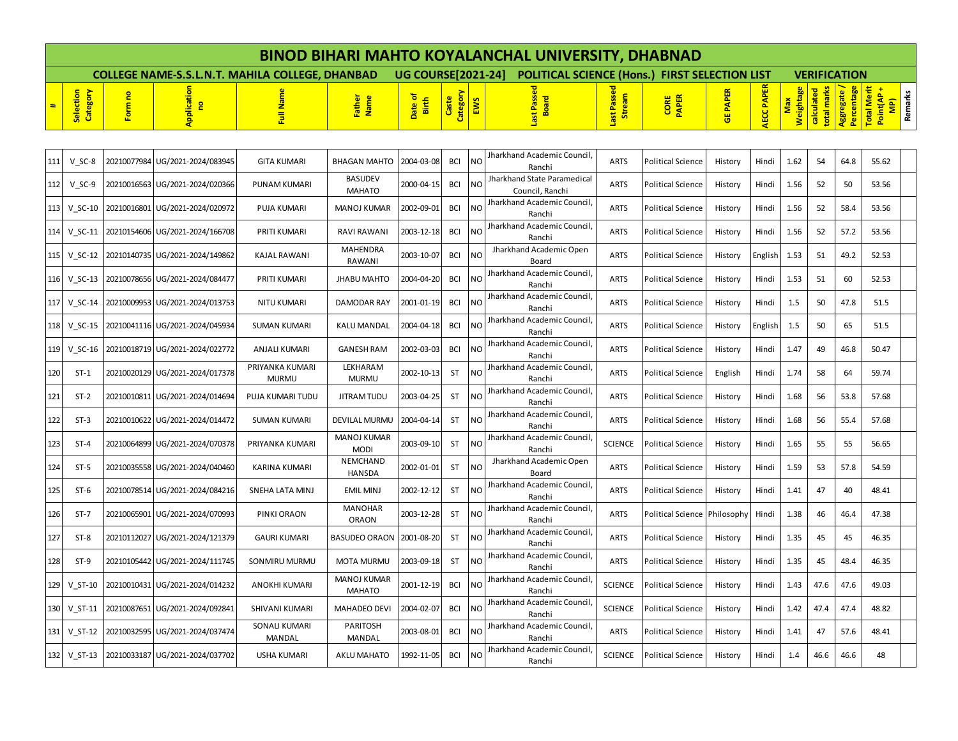|     |          |                                 |                                                        |                                 |                            |            |                  | <b>BINOD BIHARI MAHTO KOYALANCHAL UNIVERSITY, DHABNAD</b> |             |                          |            |       |      |            |                     |       |         |
|-----|----------|---------------------------------|--------------------------------------------------------|---------------------------------|----------------------------|------------|------------------|-----------------------------------------------------------|-------------|--------------------------|------------|-------|------|------------|---------------------|-------|---------|
|     |          |                                 | <b>COLLEGE NAME-S.S.L.N.T. MAHILA COLLEGE, DHANBAD</b> |                                 | <b>UG COURSE[2021-24]</b>  |            |                  | POLITICAL SCIENCE (Hons.) FIRST SELECTION LIST            |             |                          |            |       |      |            | <b>VERIFICATION</b> |       |         |
| #   |          |                                 |                                                        | 흥 휴                             | <u>ㅎㅎ</u><br>Date<br>Birtl | Caste      | ategor<br>EWS    |                                                           |             | <b>CORE</b><br>PAPER     | <b>GEP</b> |       |      | <u>ate</u> | 圖                   | 혼     | Remarks |
|     |          |                                 |                                                        |                                 |                            |            |                  |                                                           |             |                          |            |       |      |            |                     |       |         |
| 111 | $V$ SC-8 | 20210077984 UG/2021-2024/083945 | <b>GITA KUMARI</b>                                     | BHAGAN MAHTO 2004-03-08         |                            | <b>BCI</b> | NO <sub>1</sub>  | Jharkhand Academic Council,<br>Ranchi                     | <b>ARTS</b> | Political Science        | History    | Hindi | 1.62 | 54         | 64.8                | 55.62 |         |
| 112 | $V$ SC-9 | 20210016563 UG/2021-2024/020366 | PUNAM KUMARI                                           | <b>BASUDEV</b><br><b>MAHATO</b> | 2000-04-15                 | <b>BCI</b> | INO <sup>1</sup> | I Jharkhand State Paramedical<br>Council, Ranchi          | <b>ARTS</b> | <b>Political Science</b> | History    | Hindi | 1.56 | 52         | 50                  | 53.56 |         |

| #   | Selection<br>Category | Form no       | Application                     | <b>Name</b><br>튐                | Father<br>Name                      | Date of<br>Birth | Category<br>Caste | EWS            | Last Passed<br><b>Board</b>                    | Last Passed<br>Stream | <b>PAPER</b><br><b>CORE</b>  | <b>GE PAPER</b> | <b>AECC PAPER</b> | Weightage<br>Max | total marks<br>calculated | Percentage<br>Aggregate | <b>Total Merit</b><br>Point(AP<br>$\widehat{P}$ | <b>Remarks</b> |
|-----|-----------------------|---------------|---------------------------------|---------------------------------|-------------------------------------|------------------|-------------------|----------------|------------------------------------------------|-----------------------|------------------------------|-----------------|-------------------|------------------|---------------------------|-------------------------|-------------------------------------------------|----------------|
|     |                       |               |                                 |                                 |                                     |                  |                   |                |                                                |                       |                              |                 |                   |                  |                           |                         |                                                 |                |
| 111 | $V$ SC-8              | 20210077984   | UG/2021-2024/083945             | <b>GITA KUMARI</b>              | <b>BHAGAN MAHTO</b>                 | 2004-03-08       | <b>BCI</b>        | <b>NO</b>      | Jharkhand Academic Council<br>Ranchi           | <b>ARTS</b>           | <b>Political Science</b>     | History         | Hindi             | 1.62             | 54                        | 64.8                    | 55.62                                           |                |
| 112 | $V$ SC-9              | 20210016563   | UG/2021-2024/020366             | PUNAM KUMARI                    | <b>BASUDEV</b><br><b>MAHATO</b>     | 2000-04-15       | BCI               | NO             | Jharkhand State Paramedical<br>Council, Ranchi | <b>ARTS</b>           | <b>Political Science</b>     | History         | Hindi             | 1.56             | 52                        | 50                      | 53.56                                           |                |
| 113 | $V$ SC-10             | 20210016801 l | UG/2021-2024/020972             | <b>PUJA KUMARI</b>              | <b>MANOJ KUMAR</b>                  | 2002-09-01       | <b>BCI</b>        | NO.            | Jharkhand Academic Council<br>Ranchi           | <b>ARTS</b>           | <b>Political Science</b>     | History         | Hindi             | 1.56             | 52                        | 58.4                    | 53.56                                           |                |
| 114 | $V$ SC-11             | 20210154606   | UG/2021-2024/166708             | PRITI KUMARI                    | RAVI RAWANI                         | 2003-12-18       | BCI               | NO             | Jharkhand Academic Council<br>Ranchi           | <b>ARTS</b>           | <b>Political Science</b>     | History         | Hindi             | 1.56             | 52                        | 57.2                    | 53.56                                           |                |
| 115 | $V$ SC-12             |               | 20210140735 UG/2021-2024/149862 | KAJAL RAWANI                    | MAHENDRA<br>RAWANI                  | 2003-10-07       | <b>BCI</b>        | NO             | Jharkhand Academic Open<br>Board               | <b>ARTS</b>           | <b>Political Science</b>     | History         | English           | 1.53             | 51                        | 49.2                    | 52.53                                           |                |
| 116 | $V$ SC-13             | 20210078656   | UG/2021-2024/084477             | PRITI KUMARI                    | <b>JHABU MAHTO</b>                  | 2004-04-20       | BCI               | NO.            | Jharkhand Academic Council<br>Ranchi           | <b>ARTS</b>           | <b>Political Science</b>     | History         | Hindi             | 1.53             | 51                        | 60                      | 52.53                                           |                |
| 117 | $V$ SC-14             | 20210009953   | UG/2021-2024/013753             | <b>NITU KUMARI</b>              | DAMODAR RAY                         | 2001-01-19       | <b>BCI</b>        | NO.            | Jharkhand Academic Council<br>Ranchi           | <b>ARTS</b>           | <b>Political Science</b>     | History         | Hindi             | 1.5              | 50                        | 47.8                    | 51.5                                            |                |
| 118 | $V$ SC-15             | 20210041116   | UG/2021-2024/045934             | <b>SUMAN KUMARI</b>             | <b>KALU MANDAL</b>                  | 2004-04-18       | <b>BCI</b>        | NO             | Jharkhand Academic Council<br>Ranchi           | <b>ARTS</b>           | <b>Political Science</b>     | History         | English           | 1.5              | 50                        | 65                      | 51.5                                            |                |
| 119 | $V_SC-16$             | 20210018719   | UG/2021-2024/022772             | <b>ANJALI KUMARI</b>            | <b>GANESH RAM</b>                   | 2002-03-03       | BCI               | NO.            | Jharkhand Academic Council,<br>Ranchi          | <b>ARTS</b>           | <b>Political Science</b>     | History         | Hindi             | 1.47             | 49                        | 46.8                    | 50.47                                           |                |
| 120 | $ST-1$                | 20210020129   | UG/2021-2024/017378             | PRIYANKA KUMARI<br><b>MURMU</b> | LEKHARAM<br><b>MURMU</b>            | 2002-10-13       | <b>ST</b>         | N <sub>O</sub> | Jharkhand Academic Council<br>Ranchi           | <b>ARTS</b>           | <b>Political Science</b>     | English         | Hindi             | 1.74             | 58                        | 64                      | 59.74                                           |                |
| 121 | $ST-2$                | 20210010811   | UG/2021-2024/014694             | PUJA KUMARI TUDU                | <b>JITRAM TUDU</b>                  | 2003-04-25       | <b>ST</b>         | N <sub>O</sub> | Jharkhand Academic Council<br>Ranchi           | <b>ARTS</b>           | Political Science            | History         | Hindi             | 1.68             | 56                        | 53.8                    | 57.68                                           |                |
| 122 | $ST-3$                |               | 20210010622 UG/2021-2024/014472 | <b>SUMAN KUMARI</b>             | DEVILAL MURMU                       | 2004-04-14       | <b>ST</b>         | <b>NO</b>      | Iharkhand Academic Council<br>Ranchi           | <b>ARTS</b>           | <b>Political Science</b>     | History         | Hindi             | 1.68             | 56                        | 55.4                    | 57.68                                           |                |
| 123 | $ST-4$                | 20210064899   | UG/2021-2024/070378             | PRIYANKA KUMARI                 | <b>MANOJ KUMAR</b><br><b>MODI</b>   | 2003-09-10       | <b>ST</b>         | NO.            | Jharkhand Academic Council<br>Ranchi           | <b>SCIENCE</b>        | Political Science            | History         | Hindi             | 1.65             | 55                        | 55                      | 56.65                                           |                |
| 124 | $ST-5$                | 202100355581  | UG/2021-2024/040460             | KARINA KUMARI                   | NEMCHAND<br><b>HANSDA</b>           | 2002-01-01       | <b>ST</b>         | <b>NO</b>      | Jharkhand Academic Open<br>Board               | <b>ARTS</b>           | <b>Political Science</b>     | History         | Hindi             | 1.59             | -53                       | 57.8                    | 54.59                                           |                |
| 125 | $ST-6$                | 20210078514   | UG/2021-2024/084216             | SNEHA LATA MINJ                 | <b>EMIL MINJ</b>                    | 2002-12-12       | <b>ST</b>         | <b>NO</b>      | Jharkhand Academic Council<br>Ranchi           | <b>ARTS</b>           | <b>Political Science</b>     | History         | Hindi             | 1.41             | 47                        | 40                      | 48.41                                           |                |
| 126 | $ST-7$                | 20210065901   | UG/2021-2024/070993             | PINKI ORAON                     | <b>MANOHAR</b><br><b>ORAON</b>      | 2003-12-28       | <b>ST</b>         | NO.            | Jharkhand Academic Council<br>Ranchi           | <b>ARTS</b>           | Political Science Philosophy |                 | Hindi             | 1.38             | 46                        | 46.4                    | 47.38                                           |                |
| 127 | $ST-8$                | 20210112027   | UG/2021-2024/121379             | <b>GAURI KUMARI</b>             | <b>BASUDEO ORAON</b>                | 2001-08-20       | <b>ST</b>         | <b>NO</b>      | <b>Jharkhand Academic Council</b><br>Ranchi    | <b>ARTS</b>           | Political Science            | History         | Hindi             | 1.35             | 45                        | 45                      | 46.35                                           |                |
| 128 | $ST-9$                | 20210105442   | UG/2021-2024/111745             | SONMIRU MURMU                   | MOTA MURMU                          | 2003-09-18       | <b>ST</b>         | <b>NO</b>      | Jharkhand Academic Council,<br>Ranchi          | <b>ARTS</b>           | <b>Political Science</b>     | History         | Hindi             | 1.35             | 45                        | 48.4                    | 46.35                                           |                |
| 129 | $V_S$ T-10            | 20210010431   | UG/2021-2024/014232             | <b>ANOKHI KUMARI</b>            | <b>MANOJ KUMAR</b><br><b>MAHATO</b> | 2001-12-19       | <b>BCI</b>        | NO             | Jharkhand Academic Council<br>Ranchi           | <b>SCIENCE</b>        | Political Science            | History         | Hindi             | 1.43             | 47.6                      | 47.6                    | 49.03                                           |                |
| 130 | $V$ ST-11             | 20210087651   | UG/2021-2024/092841             | <b>SHIVANI KUMARI</b>           | <b>MAHADEO DEVI</b>                 | 2004-02-07       | BCI               | NO.            | Jharkhand Academic Council<br>Ranchi           | <b>SCIENCE</b>        | <b>Political Science</b>     | History         | Hindi             | 1.42             | 47.4                      | 47.4                    | 48.82                                           |                |
| 131 | $V_S$ T-12            | 20210032595   | UG/2021-2024/037474             | <b>SONALI KUMARI</b><br>MANDAL  | <b>PARITOSH</b><br>MANDAL           | 2003-08-01       | <b>BCI</b>        | NO.            | Jharkhand Academic Council<br>Ranchi           | <b>ARTS</b>           | Political Science            | History         | Hindi             | 1.41             | 47                        | 57.6                    | 48.41                                           |                |
| 132 | $V_S$ T-13            |               | 20210033187 UG/2021-2024/037702 | <b>USHA KUMARI</b>              | <b>AKLU MAHATO</b>                  | 1992-11-05       | <b>BCI</b>        | <b>NO</b>      | Jharkhand Academic Council<br>Ranchi           | <b>SCIENCE</b>        | <b>Political Science</b>     | History         | Hindi             | 1.4              | 46.6                      | 46.6                    | 48                                              |                |
|     |                       |               |                                 |                                 |                                     |                  |                   |                |                                                |                       |                              |                 |                   |                  |                           |                         |                                                 |                |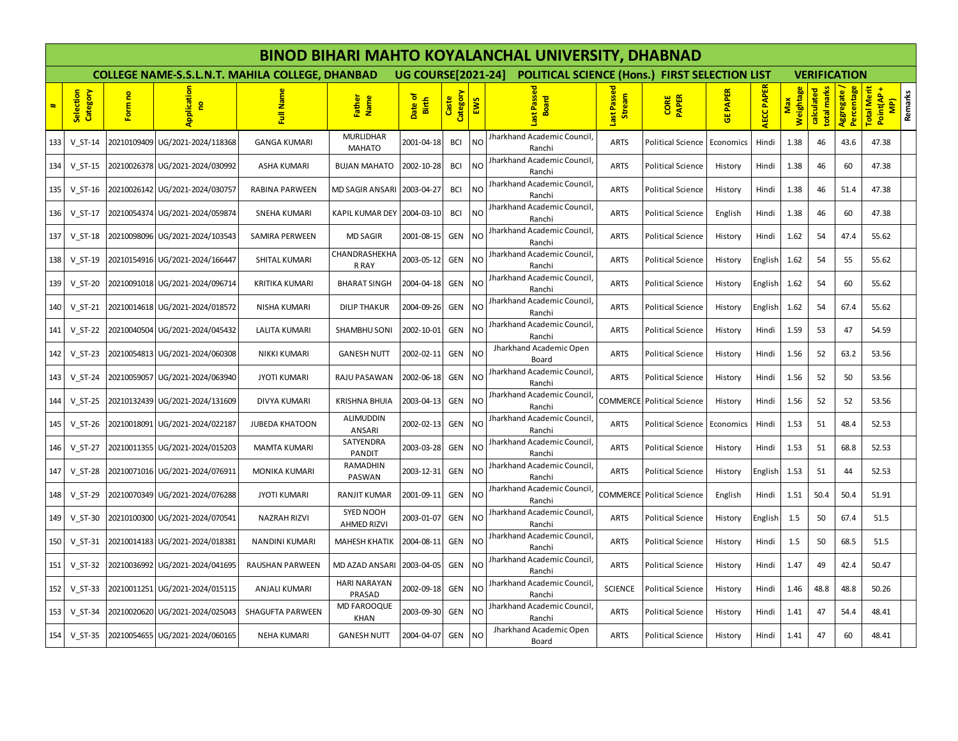|     |                       |             |                                 |                                                        |                                   |                           |                   |                | <b>BINOD BIHARI MAHTO KOYALANCHAL UNIVERSITY, DHABNAD</b> |                         |                                   |                 |                   |                  |                           |                         |                                                           |
|-----|-----------------------|-------------|---------------------------------|--------------------------------------------------------|-----------------------------------|---------------------------|-------------------|----------------|-----------------------------------------------------------|-------------------------|-----------------------------------|-----------------|-------------------|------------------|---------------------------|-------------------------|-----------------------------------------------------------|
|     |                       |             |                                 | <b>COLLEGE NAME-S.S.L.N.T. MAHILA COLLEGE, DHANBAD</b> |                                   | <b>UG COURSE[2021-24]</b> |                   |                | <b>POLITICAL SCIENCE (Hons.) FIRST SELECTION LIST</b>     |                         |                                   |                 |                   |                  | <b>VERIFICATION</b>       |                         |                                                           |
| #   | Selection<br>Category | Form no     | pplication<br>g<br>a            | Full Name                                              | <b>Name</b><br>Father             | Date of<br>Birth          | Caste<br>Category | EWS            | Passe<br><b>Board</b>                                     | Passe<br>Stream<br>isel | <b>CORE</b><br>PAPER              | <b>GE PAPER</b> | <b>AECC PAPER</b> | Weightage<br>Max | total marks<br>calculated | Percentage<br>Aggregate | <b>Total Merit</b><br>Remarks<br>Point(AP<br>$\mathbf{P}$ |
| 133 | $V_S$ T-14            |             | 20210109409 UG/2021-2024/118368 | <b>GANGA KUMARI</b>                                    | <b>MURLIDHAR</b><br><b>MAHATO</b> | 2001-04-18                | <b>BCI</b>        | NO             | Jharkhand Academic Council<br>Ranchi                      | <b>ARTS</b>             | <b>Political Science</b>          | Economics       | Hindi             | 1.38             | 46                        | 43.6                    | 47.38                                                     |
| 134 | $V$ ST-15             |             | 20210026378 UG/2021-2024/030992 | <b>ASHA KUMARI</b>                                     | <b>BUJAN MAHATO</b>               | 2002-10-28                | <b>BCI</b>        | N <sub>O</sub> | Iharkhand Academic Council<br>Ranchi                      | <b>ARTS</b>             | <b>Political Science</b>          | History         | Hindi             | 1.38             | 46                        | 60                      | 47.38                                                     |
| 135 | $V$ ST-16             |             | 20210026142 UG/2021-2024/030757 | RABINA PARWEEN                                         | <b>MD SAGIR ANSARI</b>            | 2003-04-27                | <b>BCI</b>        | N <sub>O</sub> | Iharkhand Academic Council<br>Ranchi                      | <b>ARTS</b>             | <b>Political Science</b>          | History         | Hindi             | 1.38             | 46                        | 51.4                    | 47.38                                                     |
| 136 | $V_S$ T-17            |             | 20210054374 UG/2021-2024/059874 | <b>SNEHA KUMARI</b>                                    | KAPIL KUMAR DEY                   | 2004-03-10                | <b>BCI</b>        | N <sub>O</sub> | Iharkhand Academic Council<br>Ranchi                      | <b>ARTS</b>             | <b>Political Science</b>          | English         | Hindi             | 1.38             | 46                        | 60                      | 47.38                                                     |
| 137 | $V_S$ T-18            |             | 20210098096 UG/2021-2024/103543 | <b>SAMIRA PERWEEN</b>                                  | <b>MD SAGIR</b>                   | 2001-08-15                | <b>GEN</b>        | N <sub>O</sub> | Jharkhand Academic Council<br>Ranchi                      | <b>ARTS</b>             | <b>Political Science</b>          | History         | Hindi             | 1.62             | 54                        | 47.4                    | 55.62                                                     |
| 138 | V ST-19               |             | 20210154916 UG/2021-2024/166447 | <b>SHITAL KUMARI</b>                                   | CHANDRASHEKHA<br><b>R RAY</b>     | 2003-05-12                | <b>GEN</b>        | NO             | Iharkhand Academic Council<br>Ranchi                      | <b>ARTS</b>             | <b>Political Science</b>          | History         | English           | 1.62             | 54                        | 55                      | 55.62                                                     |
| 139 | $V_S$ T-20            |             | 20210091018 UG/2021-2024/096714 | KRITIKA KUMARI                                         | <b>BHARAT SINGH</b>               | 2004-04-18                | GEN               | N <sub>O</sub> | Iharkhand Academic Council<br>Ranchi                      | <b>ARTS</b>             | <b>Political Science</b>          | History         | English           | 1.62             | 54                        | 60                      | 55.62                                                     |
| 140 | $V$ ST-21             |             | 20210014618 UG/2021-2024/018572 | NISHA KUMARI                                           | <b>DILIP THAKUR</b>               | 2004-09-26                | GEN               | N <sub>O</sub> | Iharkhand Academic Council<br>Ranchi                      | <b>ARTS</b>             | <b>Political Science</b>          | History         | English           | 1.62             | 54                        | 67.4                    | 55.62                                                     |
| 141 | $V_S$ T-22            |             | 20210040504 UG/2021-2024/045432 | <b>LALITA KUMARI</b>                                   | <b>SHAMBHU SONI</b>               | 2002-10-01                | <b>GEN</b>        | N <sub>O</sub> | Iharkhand Academic Council<br>Ranchi                      | <b>ARTS</b>             | Political Science                 | History         | Hindi             | 1.59             | 53                        | 47                      | 54.59                                                     |
| 142 | $V_S$ T-23            |             | 20210054813 UG/2021-2024/060308 | <b>NIKKI KUMARI</b>                                    | <b>GANESH NUTT</b>                | 2002-02-11                | GEN               | NO             | Jharkhand Academic Open<br>Board                          | <b>ARTS</b>             | <b>Political Science</b>          | History         | Hindi             | 1.56             | 52                        | 63.2                    | 53.56                                                     |
| 143 | $V_S$ T-24            |             | 20210059057 UG/2021-2024/063940 | <b>JYOTI KUMARI</b>                                    | RAJU PASAWAN                      | 2002-06-18                | <b>GEN</b>        | N <sub>O</sub> | Iharkhand Academic Council<br>Ranchi                      | <b>ARTS</b>             | <b>Political Science</b>          | History         | Hindi             | 1.56             | 52                        | 50                      | 53.56                                                     |
| 144 | $V_S$ T-25            |             | 20210132439 UG/2021-2024/131609 | <b>DIVYA KUMARI</b>                                    | KRISHNA BHUIA                     | 2003-04-13                | GEN               | N <sub>O</sub> | Iharkhand Academic Council<br>Ranchi                      | <b>COMMERCE</b>         | <b>Political Science</b>          | History         | Hindi             | 1.56             | 52                        | 52                      | 53.56                                                     |
| 145 | V ST-26               |             | 20210018091 UG/2021-2024/022187 | <b>JUBEDA KHATOON</b>                                  | ALIMUDDIN<br>ANSARI               | 2002-02-13                | <b>GEN</b>        | N <sub>O</sub> | Iharkhand Academic Council<br>Ranchi                      | <b>ARTS</b>             | <b>Political Science</b>          | Economics       | Hindi             | 1.53             | 51                        | 48.4                    | 52.53                                                     |
| 146 | $V_S$ T-27            |             | 20210011355 UG/2021-2024/015203 | <b>MAMTA KUMARI</b>                                    | SATYENDRA<br>PANDIT               | 2003-03-28                | <b>GEN</b>        | NO             | Iharkhand Academic Council<br>Ranchi                      | <b>ARTS</b>             | <b>Political Science</b>          | History         | Hindi             | 1.53             | 51                        | 68.8                    | 52.53                                                     |
| 147 | $V_S$ T-28            |             | 20210071016 UG/2021-2024/076911 | <b>MONIKA KUMARI</b>                                   | RAMADHIN<br>PASWAN                | 2003-12-31                | <b>GEN</b>        | N <sub>O</sub> | Iharkhand Academic Council<br>Ranchi                      | <b>ARTS</b>             | <b>Political Science</b>          | History         | English           | 1.53             | 51                        | 44                      | 52.53                                                     |
| 148 | $V_S$ T-29            |             | 20210070349 UG/2021-2024/076288 | <b>JYOTI KUMARI</b>                                    | <b>RANJIT KUMAR</b>               | 2001-09-11                | <b>GEN</b>        | N <sub>O</sub> | Iharkhand Academic Council<br>Ranchi                      |                         | <b>COMMERCE Political Science</b> | English         | Hindi             | 1.51             | 50.4                      | 50.4                    | 51.91                                                     |
| 149 | $V_S$ T-30            |             | 20210100300 UG/2021-2024/070541 | <b>NAZRAH RIZVI</b>                                    | SYED NOOH<br><b>AHMED RIZVI</b>   | 2003-01-07                | GEN               | N <sub>O</sub> | Iharkhand Academic Council<br>Ranchi                      | <b>ARTS</b>             | <b>Political Science</b>          | History         | English           | 1.5              | 50                        | 67.4                    | 51.5                                                      |
| 150 | $V$ ST-31             |             | 20210014183 UG/2021-2024/018381 | NANDINI KUMARI                                         | <b>MAHESH KHATIK</b>              | 2004-08-11                | <b>GEN</b>        | N <sub>O</sub> | Iharkhand Academic Council<br>Ranchi                      | <b>ARTS</b>             | Political Science                 | History         | Hindi             | 1.5              | 50                        | 68.5                    | 51.5                                                      |
| 151 | $V$ ST-32             |             | 20210036992 UG/2021-2024/041695 | RAUSHAN PARWEEN                                        | MD AZAD ANSARI                    | 2003-04-05                | <b>GEN</b>        | NO             | Iharkhand Academic Council<br>Ranchi                      | <b>ARTS</b>             | <b>Political Science</b>          | History         | Hindi             | 1.47             | 49                        | 42.4                    | 50.47                                                     |
| 152 | $V_S$ T-33            |             | 20210011251 UG/2021-2024/015115 | <b>ANJALI KUMARI</b>                                   | <b>HARI NARAYAN</b><br>PRASAD     | 2002-09-18                | <b>GEN</b>        | N <sub>O</sub> | Iharkhand Academic Council<br>Ranchi                      | <b>SCIENCE</b>          | <b>Political Science</b>          | History         | Hindi             | 1.46             | 48.8                      | 48.8                    | 50.26                                                     |
| 153 | $V_S$ T-34            |             | 20210020620 UG/2021-2024/025043 | <b>SHAGUFTA PARWEEN</b>                                | MD FAROOQUE<br><b>KHAN</b>        | 2003-09-30                | GEN               | N <sub>O</sub> | Iharkhand Academic Council<br>Ranchi                      | <b>ARTS</b>             | <b>Political Science</b>          | History         | Hindi             | 1.41             | 47                        | 54.4                    | 48.41                                                     |
| 154 | $V_S$ T-35            | 20210054655 | UG/2021-2024/060165             | <b>NEHA KUMARI</b>                                     | <b>GANESH NUTT</b>                | 2004-04-07                | GEN               | NO             | Jharkhand Academic Open<br>Board                          | <b>ARTS</b>             | <b>Political Science</b>          | History         | Hindi             | 1.41             | 47                        | 60                      | 48.41                                                     |
|     |                       |             |                                 |                                                        |                                   |                           |                   |                |                                                           |                         |                                   |                 |                   |                  |                           |                         |                                                           |